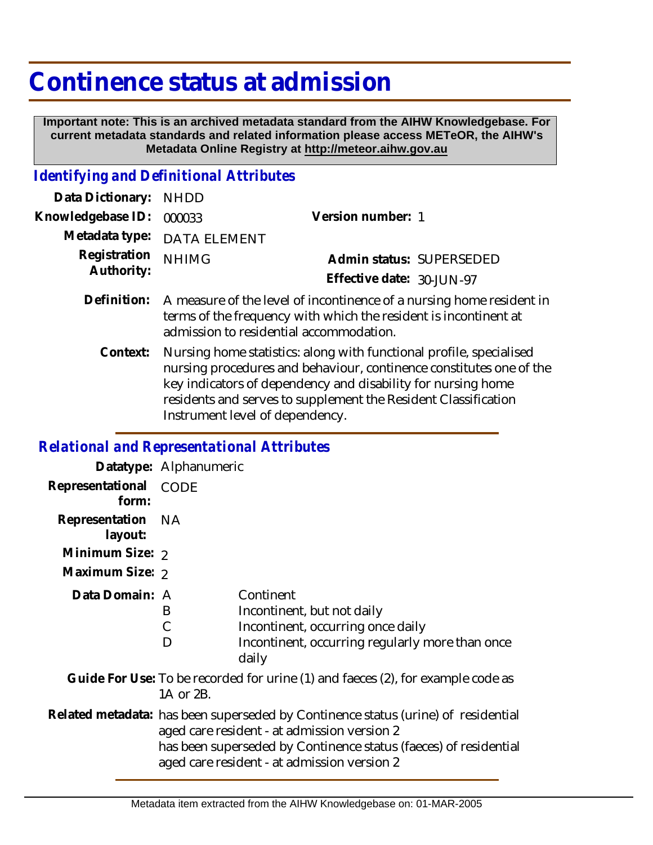## **Continence status at admission**

 **Important note: This is an archived metadata standard from the AIHW Knowledgebase. For current metadata standards and related information please access METeOR, the AIHW's Metadata Online Registry at http://meteor.aihw.gov.au**

## *Identifying and Definitional Attributes*

| Data Dictionary: NHDD            |                                                                               |                           |  |
|----------------------------------|-------------------------------------------------------------------------------|---------------------------|--|
| Knowledgebase ID: 000033         |                                                                               | Version number: 1         |  |
|                                  | Metadata type: DATA ELEMENT                                                   |                           |  |
| Registration NHIMG<br>Authority: |                                                                               | Admin status: SUPERSEDED  |  |
|                                  |                                                                               | Effective date: 30-JUN-97 |  |
|                                  | Definition. A mesocure of the local of incontinence of a purchase homes needs |                           |  |

- Definition: A measure of the level of incontinence of a nursing home resident in terms of the frequency with which the resident is incontinent at admission to residential accommodation.
	- Nursing home statistics: along with functional profile, specialised nursing procedures and behaviour, continence constitutes one of the key indicators of dependency and disability for nursing home residents and serves to supplement the Resident Classification Instrument level of dependency. **Context:**

## *Relational and Representational Attributes*

|                                                                                              | Datatype: Alphanumeric                                                                                                                                                                                                                              |                                                                                                                                          |  |
|----------------------------------------------------------------------------------------------|-----------------------------------------------------------------------------------------------------------------------------------------------------------------------------------------------------------------------------------------------------|------------------------------------------------------------------------------------------------------------------------------------------|--|
| Representational<br>form:                                                                    | <b>CODE</b>                                                                                                                                                                                                                                         |                                                                                                                                          |  |
| Representation NA<br>layout:                                                                 |                                                                                                                                                                                                                                                     |                                                                                                                                          |  |
| Minimum Size: 2                                                                              |                                                                                                                                                                                                                                                     |                                                                                                                                          |  |
| Maximum Size: 2                                                                              |                                                                                                                                                                                                                                                     |                                                                                                                                          |  |
| Data Domain: A                                                                               | B<br>D                                                                                                                                                                                                                                              | Continent<br>Incontinent, but not daily<br>Incontinent, occurring once daily<br>Incontinent, occurring regularly more than once<br>daily |  |
| Guide For Use: To be recorded for urine (1) and faeces (2), for example code as<br>1A or 2B. |                                                                                                                                                                                                                                                     |                                                                                                                                          |  |
|                                                                                              | Related metadata: has been superseded by Continence status (urine) of residential<br>aged care resident - at admission version 2<br>has been superseded by Continence status (faeces) of residential<br>aged care resident - at admission version 2 |                                                                                                                                          |  |